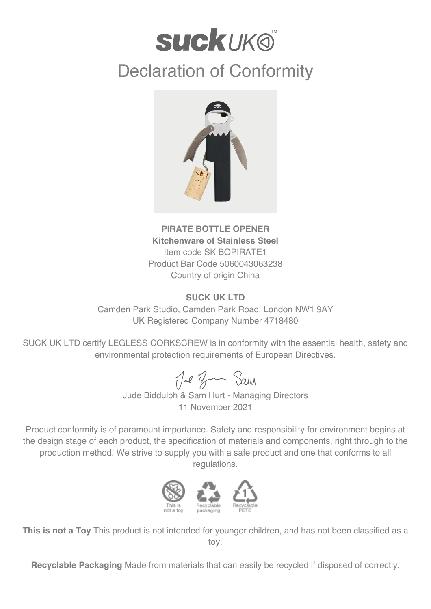## **suckuk®**

## Declaration of Conformity



**PIRATE BOTTLE OPENER Kitchenware of Stainless Steel** Item code SK BOPIRATE1 Product Bar Code 5060043063238 Country of origin China

## **SUCK UK LTD**

Camden Park Studio, Camden Park Road, London NW1 9AY UK Registered Company Number 4718480

SUCK UK LTD certify LEGLESS CORKSCREW is in conformity with the essential health, safety and environmental protection requirements of European Directives.

Jul Ban Sam

Jude Biddulph & Sam Hurt - Managing Directors 11 November 2021

Product conformity is of paramount importance. Safety and responsibility for environment begins at the design stage of each product, the specification of materials and components, right through to the production method. We strive to supply you with a safe product and one that conforms to all regulations.



**This is not a Toy** This product is not intended for younger children, and has not been classified as a toy.

**Recyclable Packaging** Made from materials that can easily be recycled if disposed of correctly.